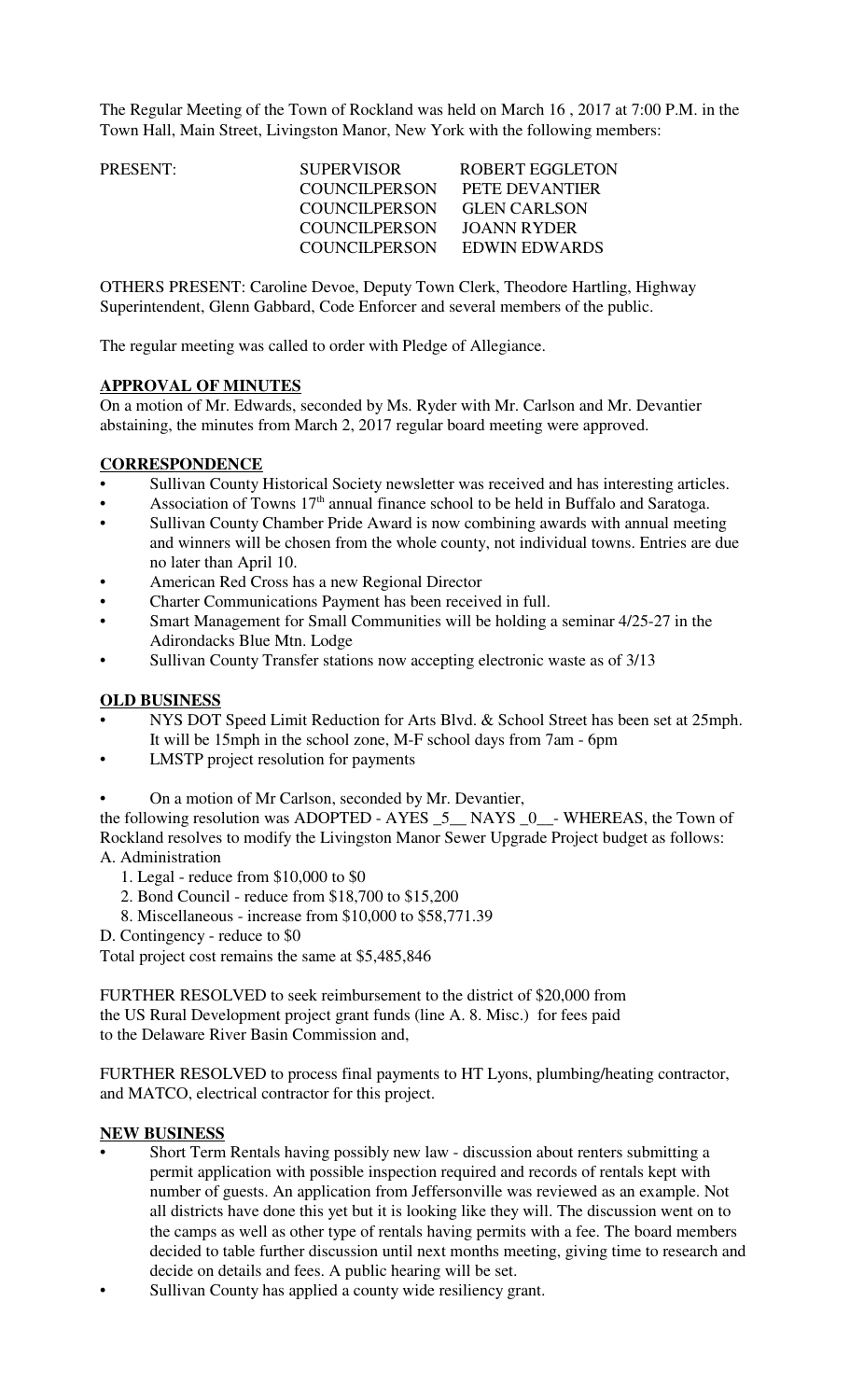The Regular Meeting of the Town of Rockland was held on March 16 , 2017 at 7:00 P.M. in the Town Hall, Main Street, Livingston Manor, New York with the following members:

| PRESENT: | <b>SUPERVISOR</b>    | ROBERT EGGLETON     |
|----------|----------------------|---------------------|
|          | COUNCILPERSON        | PETE DEVANTIER      |
|          | <b>COUNCILPERSON</b> | <b>GLEN CARLSON</b> |
|          | COUNCILPERSON        | JOANN RYDER         |
|          | COUNCILPERSON        | EDWIN EDWARDS       |
|          |                      |                     |

OTHERS PRESENT: Caroline Devoe, Deputy Town Clerk, Theodore Hartling, Highway Superintendent, Glenn Gabbard, Code Enforcer and several members of the public.

The regular meeting was called to order with Pledge of Allegiance.

### **APPROVAL OF MINUTES**

On a motion of Mr. Edwards, seconded by Ms. Ryder with Mr. Carlson and Mr. Devantier abstaining, the minutes from March 2, 2017 regular board meeting were approved.

### **CORRESPONDENCE**

- Sullivan County Historical Society newsletter was received and has interesting articles.
- Association of Towns  $17<sup>th</sup>$  annual finance school to be held in Buffalo and Saratoga.
- Sullivan County Chamber Pride Award is now combining awards with annual meeting and winners will be chosen from the whole county, not individual towns. Entries are due no later than April 10.
- American Red Cross has a new Regional Director
- Charter Communications Payment has been received in full.
- Smart Management for Small Communities will be holding a seminar 4/25-27 in the Adirondacks Blue Mtn. Lodge
- Sullivan County Transfer stations now accepting electronic waste as of 3/13

#### **OLD BUSINESS**

- NYS DOT Speed Limit Reduction for Arts Blvd. & School Street has been set at 25mph. It will be 15mph in the school zone, M-F school days from 7am - 6pm
- LMSTP project resolution for payments

• On a motion of Mr Carlson, seconded by Mr. Devantier,

the following resolution was ADOPTED - AYES \_5\_\_ NAYS \_0\_\_- WHEREAS, the Town of Rockland resolves to modify the Livingston Manor Sewer Upgrade Project budget as follows: A. Administration

- 1. Legal reduce from \$10,000 to \$0
- 2. Bond Council reduce from \$18,700 to \$15,200
- 8. Miscellaneous increase from \$10,000 to \$58,771.39
- D. Contingency reduce to \$0

Total project cost remains the same at \$5,485,846

FURTHER RESOLVED to seek reimbursement to the district of \$20,000 from the US Rural Development project grant funds (line A. 8. Misc.) for fees paid to the Delaware River Basin Commission and,

FURTHER RESOLVED to process final payments to HT Lyons, plumbing/heating contractor, and MATCO, electrical contractor for this project.

#### **NEW BUSINESS**

- Short Term Rentals having possibly new law discussion about renters submitting a permit application with possible inspection required and records of rentals kept with number of guests. An application from Jeffersonville was reviewed as an example. Not all districts have done this yet but it is looking like they will. The discussion went on to the camps as well as other type of rentals having permits with a fee. The board members decided to table further discussion until next months meeting, giving time to research and decide on details and fees. A public hearing will be set.
- Sullivan County has applied a county wide resiliency grant.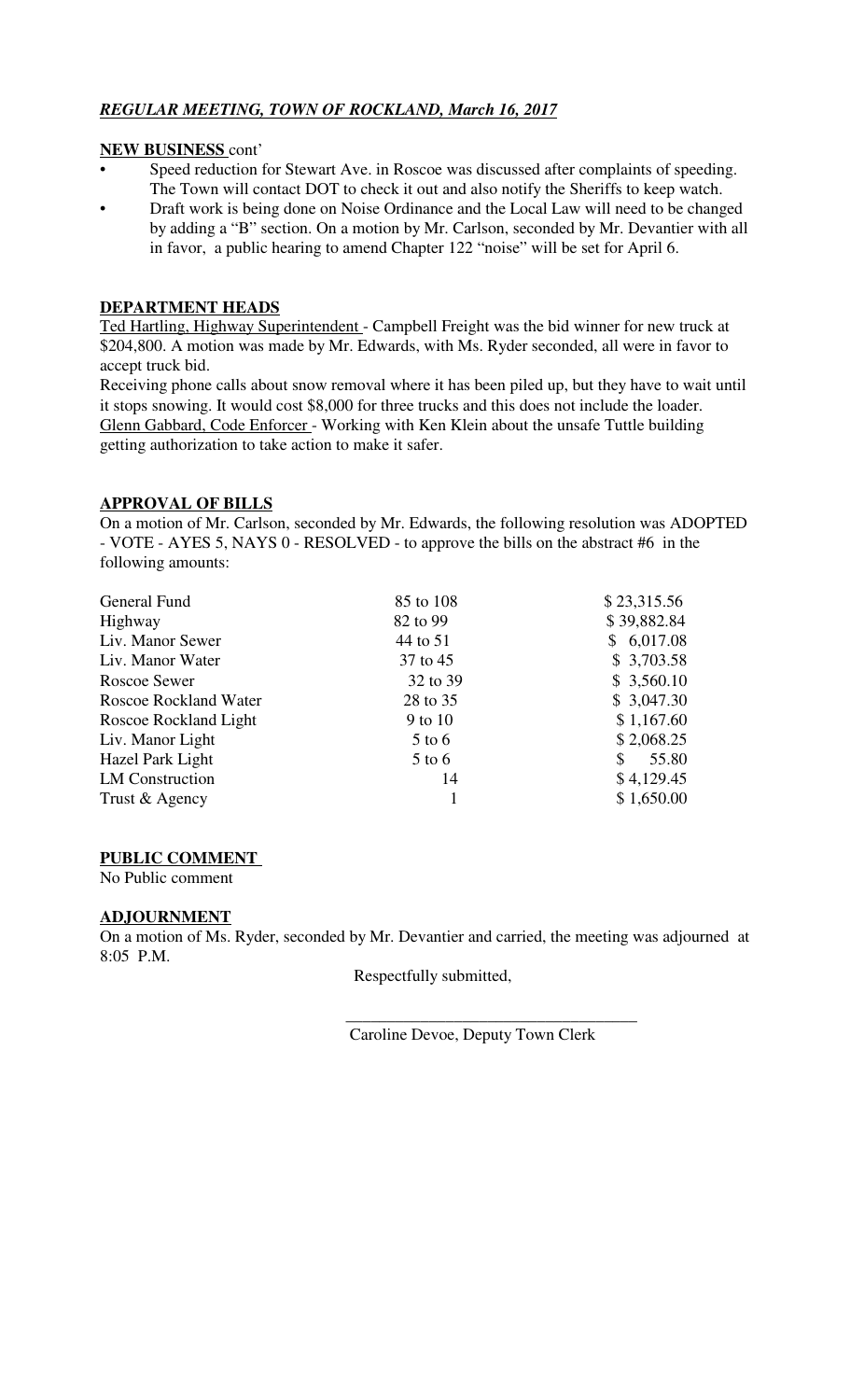# *REGULAR MEETING, TOWN OF ROCKLAND, March 16, 2017*

### **NEW BUSINESS** cont'

- Speed reduction for Stewart Ave. in Roscoe was discussed after complaints of speeding. The Town will contact DOT to check it out and also notify the Sheriffs to keep watch.
- Draft work is being done on Noise Ordinance and the Local Law will need to be changed by adding a "B" section. On a motion by Mr. Carlson, seconded by Mr. Devantier with all in favor, a public hearing to amend Chapter 122 "noise" will be set for April 6.

## **DEPARTMENT HEADS**

Ted Hartling, Highway Superintendent - Campbell Freight was the bid winner for new truck at \$204,800. A motion was made by Mr. Edwards, with Ms. Ryder seconded, all were in favor to accept truck bid.

Receiving phone calls about snow removal where it has been piled up, but they have to wait until it stops snowing. It would cost \$8,000 for three trucks and this does not include the loader. Glenn Gabbard, Code Enforcer - Working with Ken Klein about the unsafe Tuttle building getting authorization to take action to make it safer.

### **APPROVAL OF BILLS**

On a motion of Mr. Carlson, seconded by Mr. Edwards, the following resolution was ADOPTED - VOTE - AYES 5, NAYS 0 - RESOLVED - to approve the bills on the abstract #6 in the following amounts:

| General Fund           | 85 to 108 | \$23,315.56 |
|------------------------|-----------|-------------|
| Highway                | 82 to 99  | \$39,882.84 |
| Liv. Manor Sewer       | 44 to 51  | \$6,017.08  |
| Liv. Manor Water       | 37 to 45  | \$3,703.58  |
| Roscoe Sewer           | 32 to 39  | \$3,560.10  |
| Roscoe Rockland Water  | 28 to 35  | \$3,047.30  |
| Roscoe Rockland Light  | 9 to 10   | \$1,167.60  |
| Liv. Manor Light       | $5$ to 6  | \$2,068.25  |
| Hazel Park Light       | $5$ to 6  | \$<br>55.80 |
| <b>LM</b> Construction | 14        | \$4,129.45  |
| Trust & Agency         |           | \$1,650.00  |

### **PUBLIC COMMENT**

No Public comment

### **ADJOURNMENT**

On a motion of Ms. Ryder, seconded by Mr. Devantier and carried, the meeting was adjourned at 8:05 P.M.

Respectfully submitted,

 $\frac{1}{\sqrt{2}}$  ,  $\frac{1}{\sqrt{2}}$  ,  $\frac{1}{\sqrt{2}}$  ,  $\frac{1}{\sqrt{2}}$  ,  $\frac{1}{\sqrt{2}}$  ,  $\frac{1}{\sqrt{2}}$  ,  $\frac{1}{\sqrt{2}}$  ,  $\frac{1}{\sqrt{2}}$  ,  $\frac{1}{\sqrt{2}}$  ,  $\frac{1}{\sqrt{2}}$  ,  $\frac{1}{\sqrt{2}}$  ,  $\frac{1}{\sqrt{2}}$  ,  $\frac{1}{\sqrt{2}}$  ,  $\frac{1}{\sqrt{2}}$  ,  $\frac{1}{\sqrt{2}}$ Caroline Devoe, Deputy Town Clerk